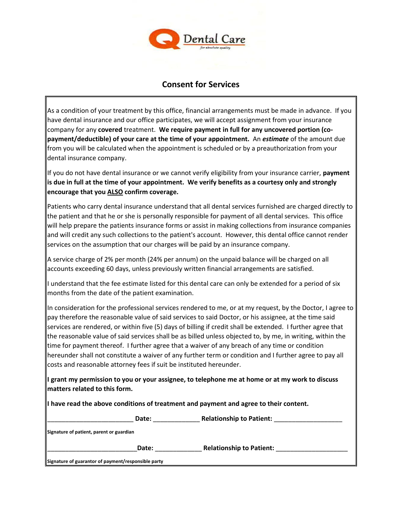

## **Consent for Services**

As a condition of your treatment by this office, financial arrangements must be made in advance. If you have dental insurance and our office participates, we will accept assignment from your insurance company for any **covered** treatment. **We require payment in full for any uncovered portion (copayment/deductible) of your care at the time of your appointment.** An *estimate* of the amount due from you will be calculated when the appointment is scheduled or by a preauthorization from your dental insurance company.

If you do not have dental insurance or we cannot verify eligibility from your insurance carrier, **payment is due in full at the time of your appointment. We verify benefits as a courtesy only and strongly encourage that you ALSO confirm coverage.**

Patients who carry dental insurance understand that all dental services furnished are charged directly to the patient and that he or she is personally responsible for payment of all dental services. This office will help prepare the patients insurance forms or assist in making collections from insurance companies and will credit any such collections to the patient's account. However, this dental office cannot render services on the assumption that our charges will be paid by an insurance company.

A service charge of 2% per month (24% per annum) on the unpaid balance will be charged on all accounts exceeding 60 days, unless previously written financial arrangements are satisfied.

I understand that the fee estimate listed for this dental care can only be extended for a period of six months from the date of the patient examination.

In consideration for the professional services rendered to me, or at my request, by the Doctor, I agree to pay therefore the reasonable value of said services to said Doctor, or his assignee, at the time said services are rendered, or within five (5) days of billing if credit shall be extended. I further agree that the reasonable value of said services shall be as billed unless objected to, by me, in writing, within the time for payment thereof. I further agree that a waiver of any breach of any time or condition hereunder shall not constitute a waiver of any further term or condition and I further agree to pay all costs and reasonable attorney fees if suit be instituted hereunder.

**I grant my permission to you or your assignee, to telephone me at home or at my work to discuss matters related to this form.**

**I have read the above conditions of treatment and payment and agree to their content.**

|                                                     | Date: | <b>Relationship to Patient:</b> |  |
|-----------------------------------------------------|-------|---------------------------------|--|
| Signature of patient, parent or guardian            |       |                                 |  |
|                                                     | Date: | <b>Relationship to Patient:</b> |  |
| Signature of guarantor of payment/responsible party |       |                                 |  |